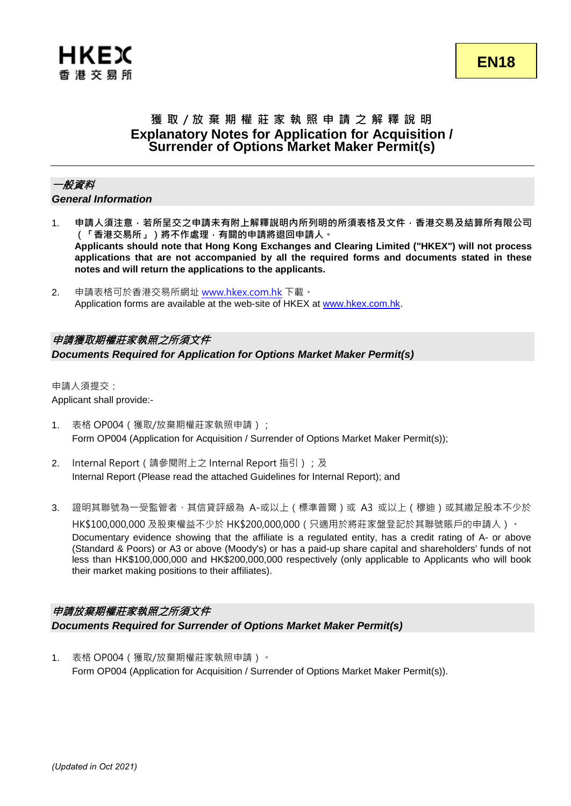# **獲 取 / 放 棄 期 權 莊 家 執 照 申 請 之 解 釋 說 明 Explanatory Notes for Application for Acquisition / Surrender of Options Market Maker Permit(s)**

## 一般資料

*General Information*

- 1. **申請人須注意,若所呈交之申請未有附上解釋說明內所列明的所須表格及文件,香港交易及結算所有限公司 (「香港交易所」)將不作處理,有關的申請將退回申請人。 Applicants should note that Hong Kong Exchanges and Clearing Limited ("HKEX") will not process applications that are not accompanied by all the required forms and documents stated in these notes and will return the applications to the applicants.**
- 2. 申請表格可於香港交易所網址 [www.hkex.com.hk](https://www.hkex.com.hk/?sc_lang=zh-HK) 下載。 Application forms are available at the web-site of HKEX at [www.hkex.com.hk.](https://www.hkex.com.hk/?sc_lang=en)

## 申請獲取期權莊家執照之所須文件

*Documents Required for Application for Options Market Maker Permit(s)*

申請人須提交: Applicant shall provide:-

- 1. 表格 OP004(獲取/放棄期權莊家執照申請); Form OP004 (Application for Acquisition / Surrender of Options Market Maker Permit(s));
- 2. Internal Report (請參閱附上之 Internal Report 指引);及 Internal Report (Please read the attached Guidelines for Internal Report); and
- 3. 證明其聯號為一受監管者、其信貸評級為 A-或以上(標準普爾)或 A3 或以上(穆迪)或其繳足股本不少於 HK\$100,000,000 及股東權益不少於 HK\$200,000,000(只適用於將莊家盤登記於其聯號賬戶的申請人)。 Documentary evidence showing that the affiliate is a regulated entity, has a credit rating of A- or above (Standard & Poors) or A3 or above (Moody's) or has a paid-up share capital and shareholders' funds of not less than HK\$100,000,000 and HK\$200,000,000 respectively (only applicable to Applicants who will book their market making positions to their affiliates).

## 申請放棄期權莊家執照之所須文件 *Documents Required for Surrender of Options Market Maker Permit(s)*

1. 表格 OP004(獲取/放棄期權莊家執照申請)。 Form OP004 (Application for Acquisition / Surrender of Options Market Maker Permit(s)).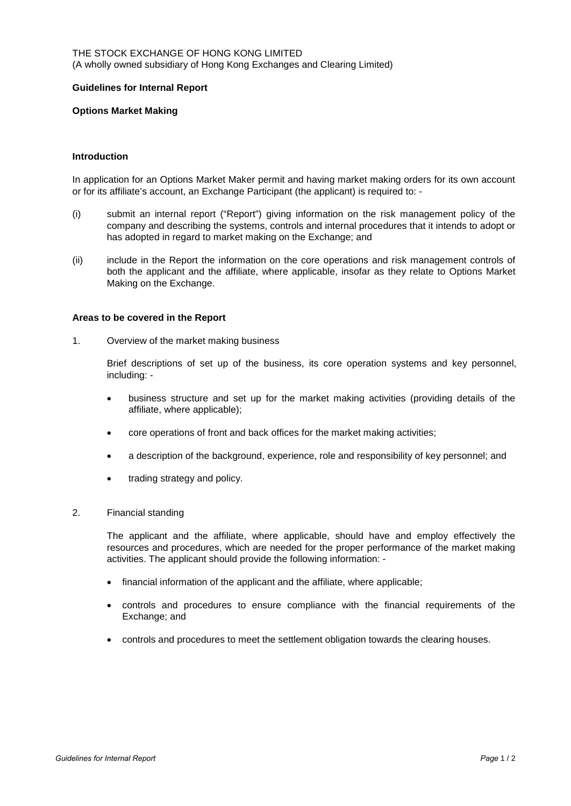#### THE STOCK EXCHANGE OF HONG KONG LIMITED (A wholly owned subsidiary of Hong Kong Exchanges and Clearing Limited)

#### **Guidelines for Internal Report**

#### **Options Market Making**

#### **Introduction**

In application for an Options Market Maker permit and having market making orders for its own account or for its affiliate's account, an Exchange Participant (the applicant) is required to: -

- (i) submit an internal report ("Report") giving information on the risk management policy of the company and describing the systems, controls and internal procedures that it intends to adopt or has adopted in regard to market making on the Exchange; and
- (ii) include in the Report the information on the core operations and risk management controls of both the applicant and the affiliate, where applicable, insofar as they relate to Options Market Making on the Exchange.

#### **Areas to be covered in the Report**

1. Overview of the market making business

Brief descriptions of set up of the business, its core operation systems and key personnel, including: -

- business structure and set up for the market making activities (providing details of the affiliate, where applicable);
- core operations of front and back offices for the market making activities;
- a description of the background, experience, role and responsibility of key personnel; and
- trading strategy and policy.

#### 2. Financial standing

The applicant and the affiliate, where applicable, should have and employ effectively the resources and procedures, which are needed for the proper performance of the market making activities. The applicant should provide the following information: -

- financial information of the applicant and the affiliate, where applicable;
- controls and procedures to ensure compliance with the financial requirements of the Exchange; and
- controls and procedures to meet the settlement obligation towards the clearing houses.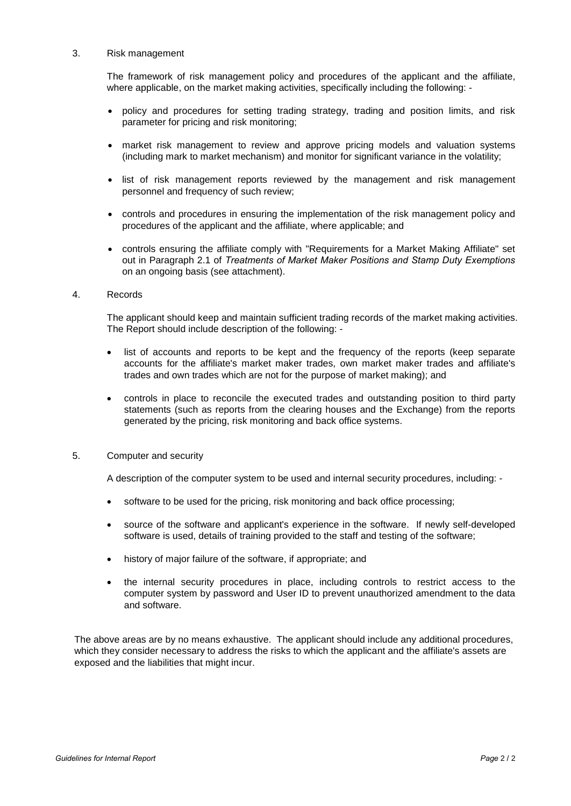#### 3. Risk management

The framework of risk management policy and procedures of the applicant and the affiliate, where applicable, on the market making activities, specifically including the following: -

- policy and procedures for setting trading strategy, trading and position limits, and risk parameter for pricing and risk monitoring;
- market risk management to review and approve pricing models and valuation systems (including mark to market mechanism) and monitor for significant variance in the volatility;
- list of risk management reports reviewed by the management and risk management personnel and frequency of such review;
- controls and procedures in ensuring the implementation of the risk management policy and procedures of the applicant and the affiliate, where applicable; and
- controls ensuring the affiliate comply with "Requirements for a Market Making Affiliate" set out in Paragraph 2.1 of *Treatments of Market Maker Positions and Stamp Duty Exemptions* on an ongoing basis (see attachment).

#### 4. Records

The applicant should keep and maintain sufficient trading records of the market making activities. The Report should include description of the following: -

- list of accounts and reports to be kept and the frequency of the reports (keep separate accounts for the affiliate's market maker trades, own market maker trades and affiliate's trades and own trades which are not for the purpose of market making); and
- controls in place to reconcile the executed trades and outstanding position to third party statements (such as reports from the clearing houses and the Exchange) from the reports generated by the pricing, risk monitoring and back office systems.

#### 5. Computer and security

A description of the computer system to be used and internal security procedures, including: -

- software to be used for the pricing, risk monitoring and back office processing;
- source of the software and applicant's experience in the software. If newly self-developed software is used, details of training provided to the staff and testing of the software;
- history of major failure of the software, if appropriate; and
- the internal security procedures in place, including controls to restrict access to the computer system by password and User ID to prevent unauthorized amendment to the data and software.

The above areas are by no means exhaustive. The applicant should include any additional procedures, which they consider necessary to address the risks to which the applicant and the affiliate's assets are exposed and the liabilities that might incur.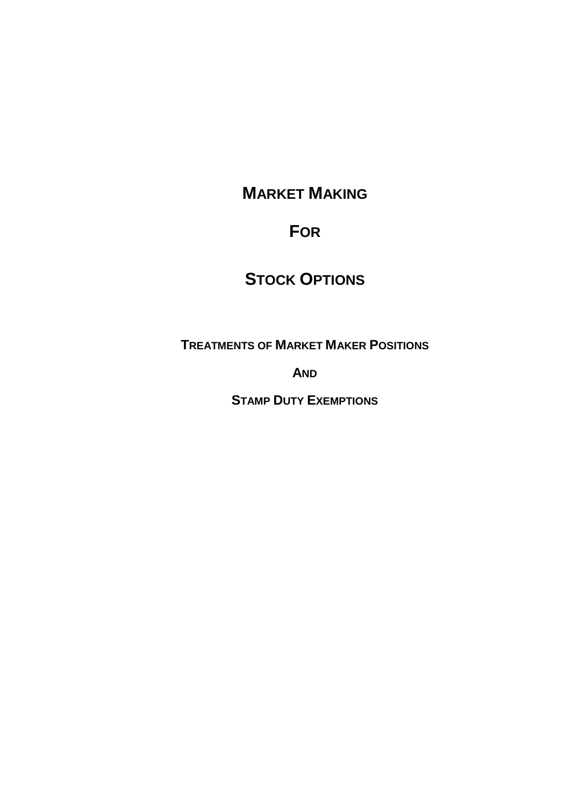# **MARKET MAKING**

# **FOR**

# **STOCK OPTIONS**

**TREATMENTS OF MARKET MAKER POSITIONS**

**AND**

**STAMP DUTY EXEMPTIONS**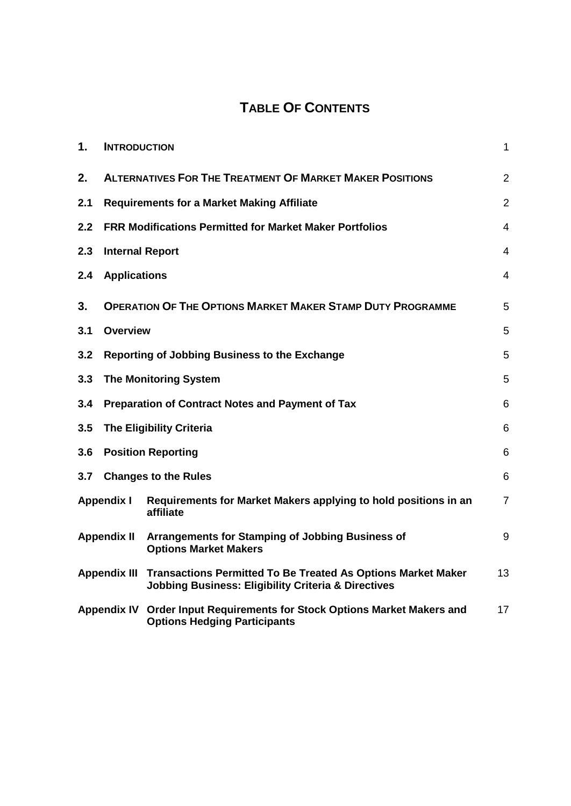# **TABLE OF CONTENTS**

| 1.                                                                                                                                                           | <b>INTRODUCTION</b>                                             |                                                                                                                 | $\mathbf{1}$             |  |  |  |
|--------------------------------------------------------------------------------------------------------------------------------------------------------------|-----------------------------------------------------------------|-----------------------------------------------------------------------------------------------------------------|--------------------------|--|--|--|
| 2.                                                                                                                                                           | <b>ALTERNATIVES FOR THE TREATMENT OF MARKET MAKER POSITIONS</b> |                                                                                                                 |                          |  |  |  |
| 2.1                                                                                                                                                          |                                                                 | <b>Requirements for a Market Making Affiliate</b>                                                               | $\overline{2}$           |  |  |  |
| 2.2                                                                                                                                                          |                                                                 | <b>FRR Modifications Permitted for Market Maker Portfolios</b>                                                  | 4                        |  |  |  |
| 2.3                                                                                                                                                          | <b>Internal Report</b>                                          |                                                                                                                 | $\overline{4}$           |  |  |  |
| 2.4                                                                                                                                                          | <b>Applications</b>                                             |                                                                                                                 | $\overline{\mathcal{A}}$ |  |  |  |
| 3.                                                                                                                                                           |                                                                 | <b>OPERATION OF THE OPTIONS MARKET MAKER STAMP DUTY PROGRAMME</b>                                               | 5                        |  |  |  |
| 3.1                                                                                                                                                          | <b>Overview</b>                                                 |                                                                                                                 | 5                        |  |  |  |
| 3.2                                                                                                                                                          |                                                                 | Reporting of Jobbing Business to the Exchange                                                                   | 5                        |  |  |  |
| 3.3                                                                                                                                                          | 5<br><b>The Monitoring System</b>                               |                                                                                                                 |                          |  |  |  |
| 3.4                                                                                                                                                          | <b>Preparation of Contract Notes and Payment of Tax</b><br>6    |                                                                                                                 |                          |  |  |  |
| 3.5                                                                                                                                                          | <b>The Eligibility Criteria</b><br>6                            |                                                                                                                 |                          |  |  |  |
| 3.6                                                                                                                                                          | <b>Position Reporting</b><br>6                                  |                                                                                                                 |                          |  |  |  |
| 6<br>3.7<br><b>Changes to the Rules</b>                                                                                                                      |                                                                 |                                                                                                                 |                          |  |  |  |
|                                                                                                                                                              | <b>Appendix I</b>                                               | Requirements for Market Makers applying to hold positions in an<br>affiliate                                    | $\overline{7}$           |  |  |  |
|                                                                                                                                                              | <b>Appendix II</b>                                              | Arrangements for Stamping of Jobbing Business of<br><b>Options Market Makers</b>                                | 9                        |  |  |  |
| <b>Transactions Permitted To Be Treated As Options Market Maker</b><br><b>Appendix III</b><br><b>Jobbing Business: Eligibility Criteria &amp; Directives</b> |                                                                 | 13                                                                                                              |                          |  |  |  |
|                                                                                                                                                              |                                                                 | Appendix IV Order Input Requirements for Stock Options Market Makers and<br><b>Options Hedging Participants</b> | 17                       |  |  |  |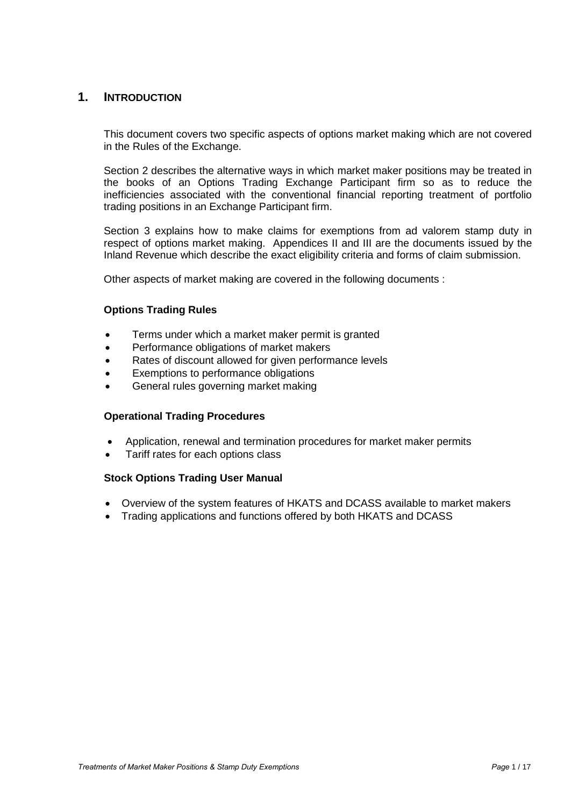## **1. INTRODUCTION**

This document covers two specific aspects of options market making which are not covered in the Rules of the Exchange.

Section 2 describes the alternative ways in which market maker positions may be treated in the books of an Options Trading Exchange Participant firm so as to reduce the inefficiencies associated with the conventional financial reporting treatment of portfolio trading positions in an Exchange Participant firm.

Section 3 explains how to make claims for exemptions from ad valorem stamp duty in respect of options market making. Appendices II and III are the documents issued by the Inland Revenue which describe the exact eligibility criteria and forms of claim submission.

Other aspects of market making are covered in the following documents :

## **Options Trading Rules**

- Terms under which a market maker permit is granted
- Performance obligations of market makers
- Rates of discount allowed for given performance levels
- Exemptions to performance obligations
- General rules governing market making

#### **Operational Trading Procedures**

- Application, renewal and termination procedures for market maker permits
- Tariff rates for each options class

#### **Stock Options Trading User Manual**

- Overview of the system features of HKATS and DCASS available to market makers
- Trading applications and functions offered by both HKATS and DCASS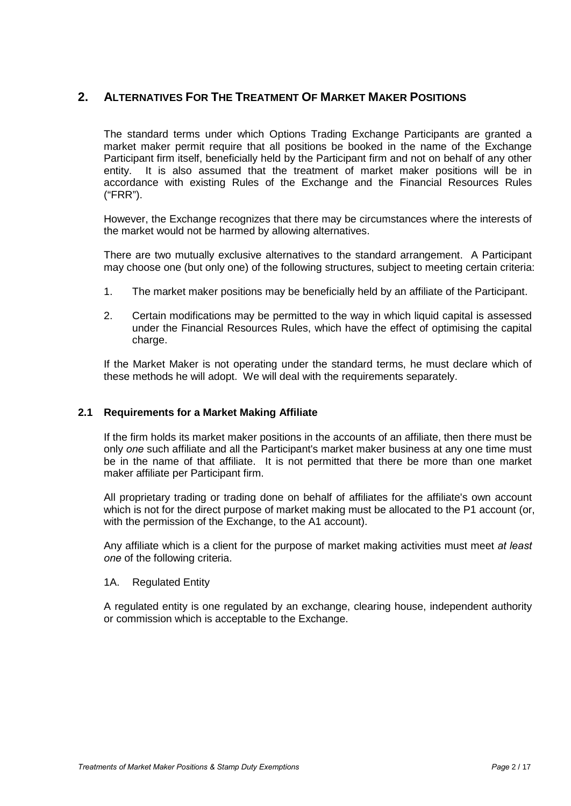# **2. ALTERNATIVES FOR THE TREATMENT OF MARKET MAKER POSITIONS**

The standard terms under which Options Trading Exchange Participants are granted a market maker permit require that all positions be booked in the name of the Exchange Participant firm itself, beneficially held by the Participant firm and not on behalf of any other entity. It is also assumed that the treatment of market maker positions will be in accordance with existing Rules of the Exchange and the Financial Resources Rules ("FRR").

However, the Exchange recognizes that there may be circumstances where the interests of the market would not be harmed by allowing alternatives.

There are two mutually exclusive alternatives to the standard arrangement. A Participant may choose one (but only one) of the following structures, subject to meeting certain criteria:

- 1. The market maker positions may be beneficially held by an affiliate of the Participant.
- 2. Certain modifications may be permitted to the way in which liquid capital is assessed under the Financial Resources Rules, which have the effect of optimising the capital charge.

If the Market Maker is not operating under the standard terms, he must declare which of these methods he will adopt. We will deal with the requirements separately.

## **2.1 Requirements for a Market Making Affiliate**

If the firm holds its market maker positions in the accounts of an affiliate, then there must be only *one* such affiliate and all the Participant's market maker business at any one time must be in the name of that affiliate. It is not permitted that there be more than one market maker affiliate per Participant firm.

All proprietary trading or trading done on behalf of affiliates for the affiliate's own account which is not for the direct purpose of market making must be allocated to the P1 account (or, with the permission of the Exchange, to the A1 account).

Any affiliate which is a client for the purpose of market making activities must meet *at least one* of the following criteria.

#### 1A. Regulated Entity

A regulated entity is one regulated by an exchange, clearing house, independent authority or commission which is acceptable to the Exchange.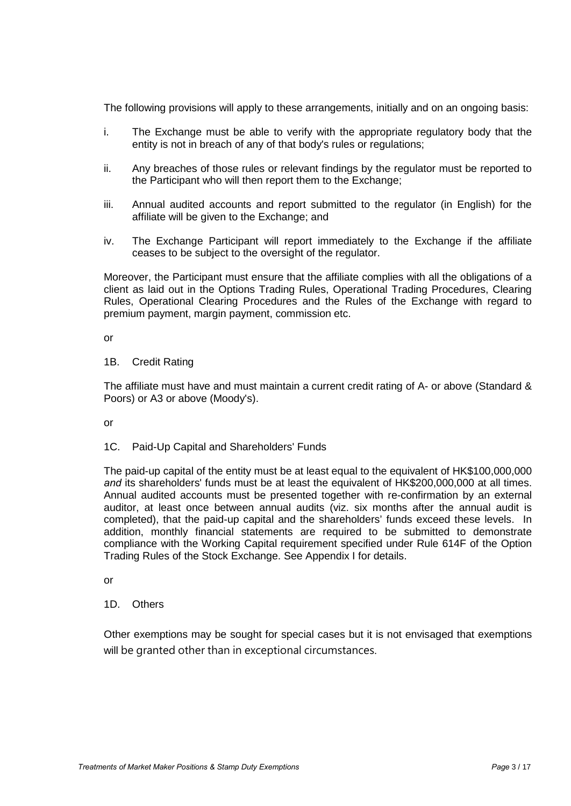The following provisions will apply to these arrangements, initially and on an ongoing basis:

- i. The Exchange must be able to verify with the appropriate regulatory body that the entity is not in breach of any of that body's rules or regulations;
- ii. Any breaches of those rules or relevant findings by the regulator must be reported to the Participant who will then report them to the Exchange;
- iii. Annual audited accounts and report submitted to the regulator (in English) for the affiliate will be given to the Exchange; and
- iv. The Exchange Participant will report immediately to the Exchange if the affiliate ceases to be subject to the oversight of the regulator.

Moreover, the Participant must ensure that the affiliate complies with all the obligations of a client as laid out in the Options Trading Rules, Operational Trading Procedures, Clearing Rules, Operational Clearing Procedures and the Rules of the Exchange with regard to premium payment, margin payment, commission etc.

or

#### 1B. Credit Rating

The affiliate must have and must maintain a current credit rating of A- or above (Standard & Poors) or A3 or above (Moody's).

or

## 1C. Paid-Up Capital and Shareholders' Funds

The paid-up capital of the entity must be at least equal to the equivalent of HK\$100,000,000 and its shareholders' funds must be at least the equivalent of HK\$200,000,000 at all times. Annual audited accounts must be presented together with re-confirmation by an external auditor, at least once between annual audits (viz. six months after the annual audit is completed), that the paid-up capital and the shareholders' funds exceed these levels. In addition, monthly financial statements are required to be submitted to demonstrate compliance with the Working Capital requirement specified under Rule 614F of the Option Trading Rules of the Stock Exchange. See Appendix I for details.

or

## 1D. Others

Other exemptions may be sought for special cases but it is not envisaged that exemptions will be granted other than in exceptional circumstances.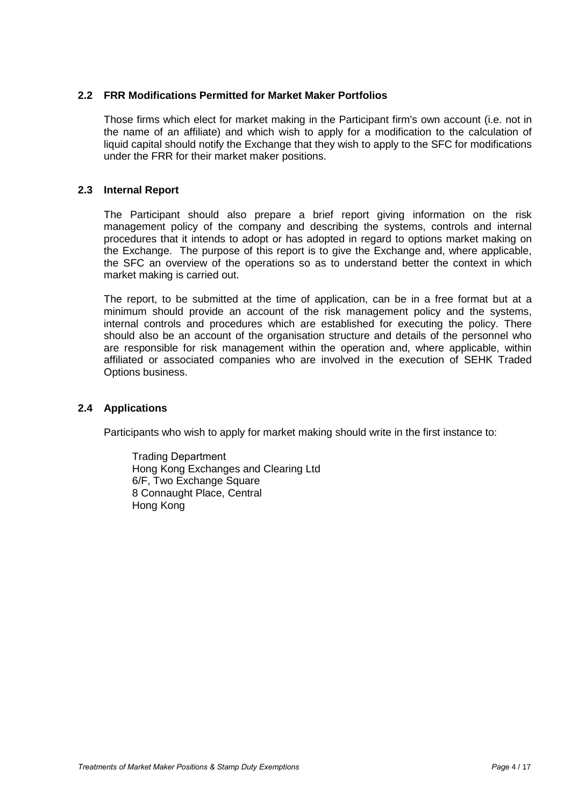## **2.2 FRR Modifications Permitted for Market Maker Portfolios**

Those firms which elect for market making in the Participant firm's own account (i.e. not in the name of an affiliate) and which wish to apply for a modification to the calculation of liquid capital should notify the Exchange that they wish to apply to the SFC for modifications under the FRR for their market maker positions.

#### **2.3 Internal Report**

The Participant should also prepare a brief report giving information on the risk management policy of the company and describing the systems, controls and internal procedures that it intends to adopt or has adopted in regard to options market making on the Exchange. The purpose of this report is to give the Exchange and, where applicable, the SFC an overview of the operations so as to understand better the context in which market making is carried out.

The report, to be submitted at the time of application, can be in a free format but at a minimum should provide an account of the risk management policy and the systems, internal controls and procedures which are established for executing the policy. There should also be an account of the organisation structure and details of the personnel who are responsible for risk management within the operation and, where applicable, within affiliated or associated companies who are involved in the execution of SEHK Traded Options business.

#### **2.4 Applications**

Participants who wish to apply for market making should write in the first instance to:

Trading Department Hong Kong Exchanges and Clearing Ltd 6/F, Two Exchange Square 8 Connaught Place, Central Hong Kong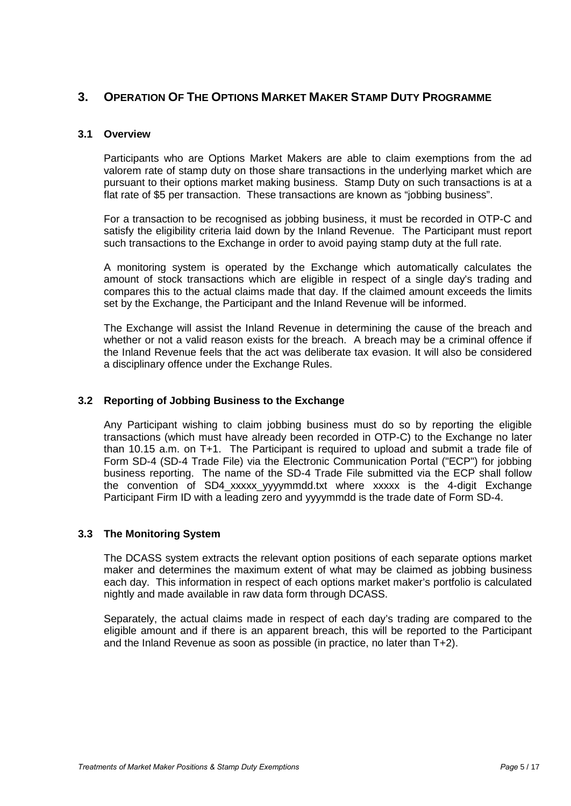# **3. OPERATION OF THE OPTIONS MARKET MAKER STAMP DUTY PROGRAMME**

#### **3.1 Overview**

Participants who are Options Market Makers are able to claim exemptions from the ad valorem rate of stamp duty on those share transactions in the underlying market which are pursuant to their options market making business. Stamp Duty on such transactions is at a flat rate of \$5 per transaction. These transactions are known as "jobbing business".

For a transaction to be recognised as jobbing business, it must be recorded in OTP-C and satisfy the eligibility criteria laid down by the Inland Revenue. The Participant must report such transactions to the Exchange in order to avoid paying stamp duty at the full rate.

A monitoring system is operated by the Exchange which automatically calculates the amount of stock transactions which are eligible in respect of a single day's trading and compares this to the actual claims made that day. If the claimed amount exceeds the limits set by the Exchange, the Participant and the Inland Revenue will be informed.

The Exchange will assist the Inland Revenue in determining the cause of the breach and whether or not a valid reason exists for the breach. A breach may be a criminal offence if the Inland Revenue feels that the act was deliberate tax evasion. It will also be considered a disciplinary offence under the Exchange Rules.

## **3.2 Reporting of Jobbing Business to the Exchange**

Any Participant wishing to claim jobbing business must do so by reporting the eligible transactions (which must have already been recorded in OTP-C) to the Exchange no later than 10.15 a.m. on T+1. The Participant is required to upload and submit a trade file of Form SD-4 (SD-4 Trade File) via the Electronic Communication Portal ("ECP") for jobbing business reporting. The name of the SD-4 Trade File submitted via the ECP shall follow the convention of SD4\_xxxxx\_yyyymmdd.txt where xxxxx is the 4-digit Exchange Participant Firm ID with a leading zero and yyyymmdd is the trade date of Form SD-4.

## **3.3 The Monitoring System**

The DCASS system extracts the relevant option positions of each separate options market maker and determines the maximum extent of what may be claimed as jobbing business each day. This information in respect of each options market maker's portfolio is calculated nightly and made available in raw data form through DCASS.

Separately, the actual claims made in respect of each day's trading are compared to the eligible amount and if there is an apparent breach, this will be reported to the Participant and the Inland Revenue as soon as possible (in practice, no later than T+2).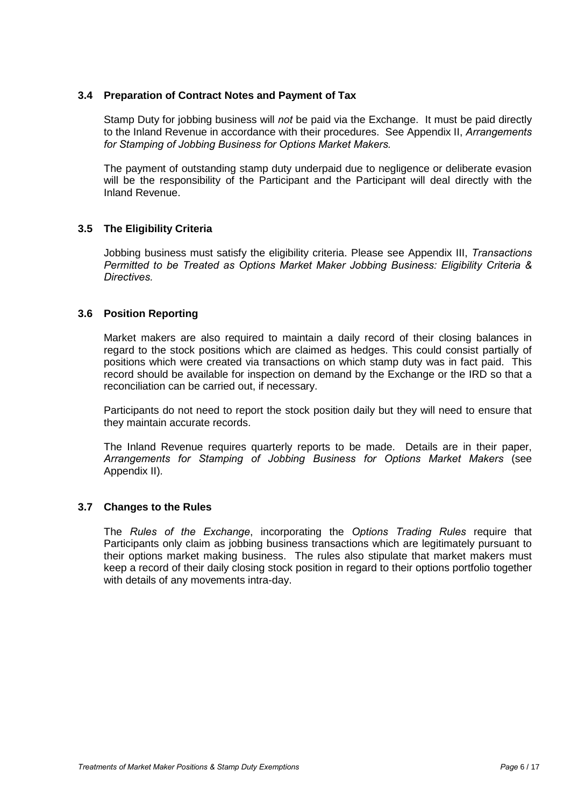## **3.4 Preparation of Contract Notes and Payment of Tax**

Stamp Duty for jobbing business will *not* be paid via the Exchange. It must be paid directly to the Inland Revenue in accordance with their procedures. See Appendix II, *Arrangements for Stamping of Jobbing Business for Options Market Makers.*

The payment of outstanding stamp duty underpaid due to negligence or deliberate evasion will be the responsibility of the Participant and the Participant will deal directly with the Inland Revenue.

## **3.5 The Eligibility Criteria**

Jobbing business must satisfy the eligibility criteria. Please see Appendix III, *Transactions Permitted to be Treated as Options Market Maker Jobbing Business: Eligibility Criteria & Directives.*

#### **3.6 Position Reporting**

Market makers are also required to maintain a daily record of their closing balances in regard to the stock positions which are claimed as hedges. This could consist partially of positions which were created via transactions on which stamp duty was in fact paid. This record should be available for inspection on demand by the Exchange or the IRD so that a reconciliation can be carried out, if necessary.

Participants do not need to report the stock position daily but they will need to ensure that they maintain accurate records.

The Inland Revenue requires quarterly reports to be made. Details are in their paper, *Arrangements for Stamping of Jobbing Business for Options Market Makers* (see Appendix II)*.*

#### **3.7 Changes to the Rules**

The *Rules of the Exchange*, incorporating the *Options Trading Rules* require that Participants only claim as jobbing business transactions which are legitimately pursuant to their options market making business. The rules also stipulate that market makers must keep a record of their daily closing stock position in regard to their options portfolio together with details of any movements intra-day.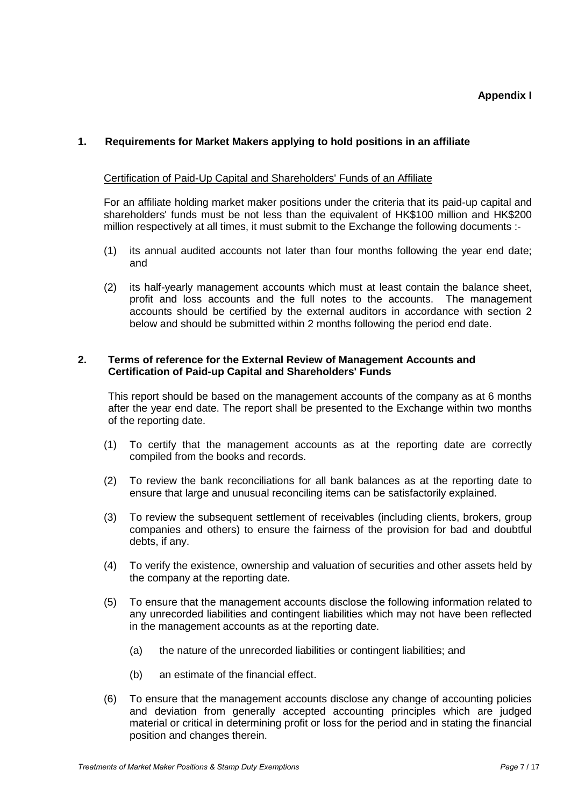## **Appendix I**

## **1. Requirements for Market Makers applying to hold positions in an affiliate**

#### Certification of Paid-Up Capital and Shareholders' Funds of an Affiliate

For an affiliate holding market maker positions under the criteria that its paid-up capital and shareholders' funds must be not less than the equivalent of HK\$100 million and HK\$200 million respectively at all times, it must submit to the Exchange the following documents :-

- (1) its annual audited accounts not later than four months following the year end date; and
- (2) its half-yearly management accounts which must at least contain the balance sheet, profit and loss accounts and the full notes to the accounts. The management accounts should be certified by the external auditors in accordance with section 2 below and should be submitted within 2 months following the period end date.

#### **2. Terms of reference for the External Review of Management Accounts and Certification of Paid-up Capital and Shareholders' Funds**

This report should be based on the management accounts of the company as at 6 months after the year end date. The report shall be presented to the Exchange within two months of the reporting date.

- (1) To certify that the management accounts as at the reporting date are correctly compiled from the books and records.
- (2) To review the bank reconciliations for all bank balances as at the reporting date to ensure that large and unusual reconciling items can be satisfactorily explained.
- (3) To review the subsequent settlement of receivables (including clients, brokers, group companies and others) to ensure the fairness of the provision for bad and doubtful debts, if any.
- (4) To verify the existence, ownership and valuation of securities and other assets held by the company at the reporting date.
- (5) To ensure that the management accounts disclose the following information related to any unrecorded liabilities and contingent liabilities which may not have been reflected in the management accounts as at the reporting date.
	- (a) the nature of the unrecorded liabilities or contingent liabilities; and
	- (b) an estimate of the financial effect.
- (6) To ensure that the management accounts disclose any change of accounting policies and deviation from generally accepted accounting principles which are judged material or critical in determining profit or loss for the period and in stating the financial position and changes therein.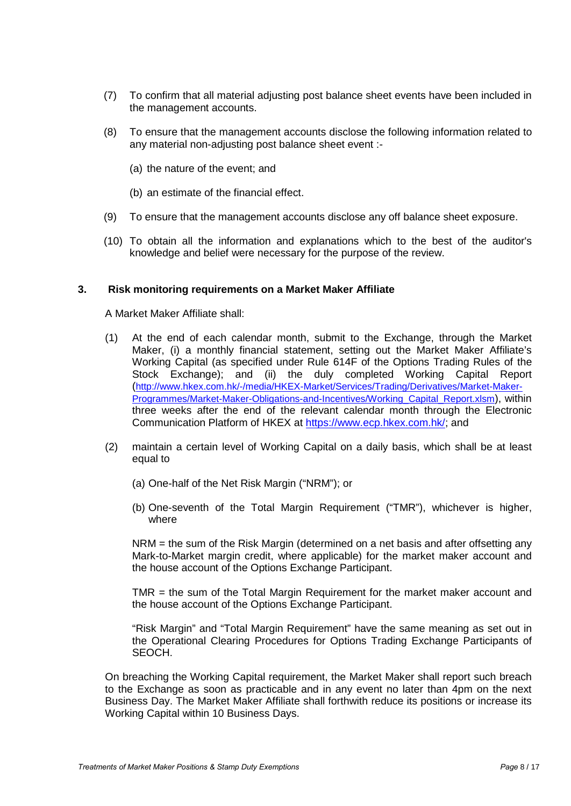- (7) To confirm that all material adjusting post balance sheet events have been included in the management accounts.
- (8) To ensure that the management accounts disclose the following information related to any material non-adjusting post balance sheet event :-
	- (a) the nature of the event; and
	- (b) an estimate of the financial effect.
- (9) To ensure that the management accounts disclose any off balance sheet exposure.
- (10) To obtain all the information and explanations which to the best of the auditor's knowledge and belief were necessary for the purpose of the review.

#### **3. Risk monitoring requirements on a Market Maker Affiliate**

A Market Maker Affiliate shall:

- (1) At the end of each calendar month, submit to the Exchange, through the Market Maker, (i) a monthly financial statement, setting out the Market Maker Affiliate's Working Capital (as specified under Rule 614F of the Options Trading Rules of the Stock Exchange); and (ii) the duly completed Working Capital Report [\(http://www.hkex.com.hk/-/media/HKEX-Market/Services/Trading/Derivatives/Market-Maker-](http://www.hkex.com.hk/-/media/HKEX-Market/Services/Trading/Derivatives/Market-Maker-Programmes/Market-Maker-Obligations-and-Incentives/Working_Capital_Report.xlsm)[Programmes/Market-Maker-Obligations-and-Incentives/Working\\_Capital\\_Report.xlsm\)](http://www.hkex.com.hk/-/media/HKEX-Market/Services/Trading/Derivatives/Market-Maker-Programmes/Market-Maker-Obligations-and-Incentives/Working_Capital_Report.xlsm), within three weeks after the end of the relevant calendar month through the Electronic Communication Platform of HKEX at [https://www.ecp.hkex.com.hk/;](https://www.ecp.hkex.com.hk/) and
- (2) maintain a certain level of Working Capital on a daily basis, which shall be at least equal to
	- (a) One-half of the Net Risk Margin ("NRM"); or
	- (b) One-seventh of the Total Margin Requirement ("TMR"), whichever is higher, where

NRM = the sum of the Risk Margin (determined on a net basis and after offsetting any Mark-to-Market margin credit, where applicable) for the market maker account and the house account of the Options Exchange Participant.

TMR = the sum of the Total Margin Requirement for the market maker account and the house account of the Options Exchange Participant.

"Risk Margin" and "Total Margin Requirement" have the same meaning as set out in the Operational Clearing Procedures for Options Trading Exchange Participants of SEOCH.

On breaching the Working Capital requirement, the Market Maker shall report such breach to the Exchange as soon as practicable and in any event no later than 4pm on the next Business Day. The Market Maker Affiliate shall forthwith reduce its positions or increase its Working Capital within 10 Business Days.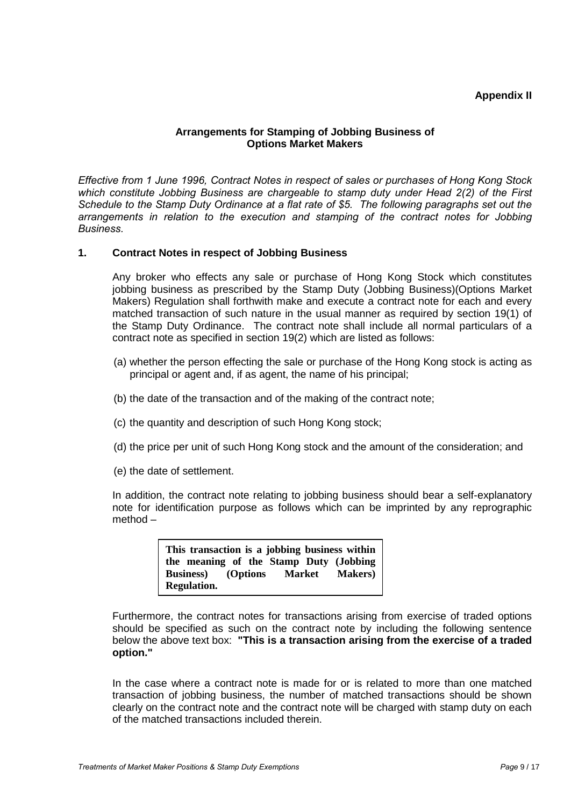## **Appendix II**

#### **Arrangements for Stamping of Jobbing Business of Options Market Makers**

*Effective from 1 June 1996, Contract Notes in respect of sales or purchases of Hong Kong Stock which constitute Jobbing Business are chargeable to stamp duty under Head 2(2) of the First Schedule to the Stamp Duty Ordinance at a flat rate of \$5. The following paragraphs set out the arrangements in relation to the execution and stamping of the contract notes for Jobbing Business.*

#### **1. Contract Notes in respect of Jobbing Business**

Any broker who effects any sale or purchase of Hong Kong Stock which constitutes jobbing business as prescribed by the Stamp Duty (Jobbing Business)(Options Market Makers) Regulation shall forthwith make and execute a contract note for each and every matched transaction of such nature in the usual manner as required by section 19(1) of the Stamp Duty Ordinance. The contract note shall include all normal particulars of a contract note as specified in section 19(2) which are listed as follows:

- (a) whether the person effecting the sale or purchase of the Hong Kong stock is acting as principal or agent and, if as agent, the name of his principal;
- (b) the date of the transaction and of the making of the contract note;
- (c) the quantity and description of such Hong Kong stock;
- (d) the price per unit of such Hong Kong stock and the amount of the consideration; and
- (e) the date of settlement.

In addition, the contract note relating to jobbing business should bear a self-explanatory note for identification purpose as follows which can be imprinted by any reprographic method –

> **This transaction is a jobbing business within the meaning of the Stamp Duty (Jobbing Business**) (Options **Regulation.**

Furthermore, the contract notes for transactions arising from exercise of traded options should be specified as such on the contract note by including the following sentence below the above text box: **"This is a transaction arising from the exercise of a traded option."**

In the case where a contract note is made for or is related to more than one matched transaction of jobbing business, the number of matched transactions should be shown clearly on the contract note and the contract note will be charged with stamp duty on each of the matched transactions included therein.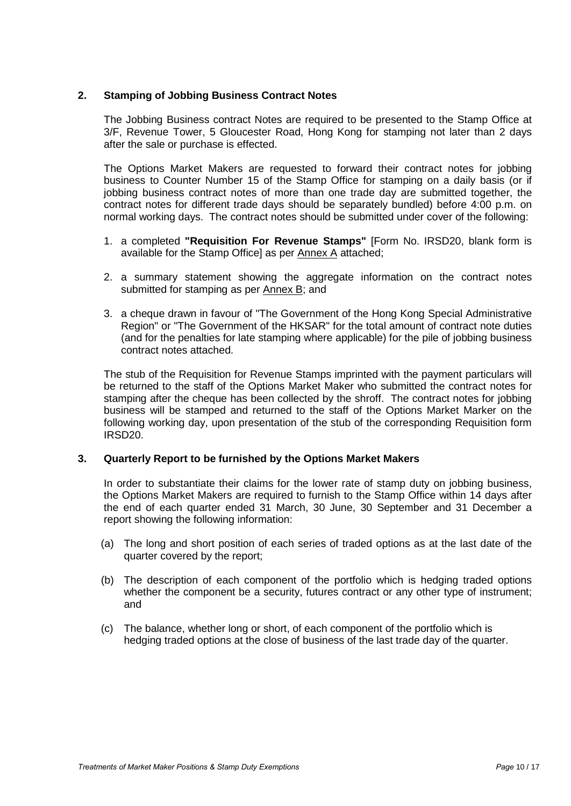## **2. Stamping of Jobbing Business Contract Notes**

The Jobbing Business contract Notes are required to be presented to the Stamp Office at 3/F, Revenue Tower, 5 Gloucester Road, Hong Kong for stamping not later than 2 days after the sale or purchase is effected.

The Options Market Makers are requested to forward their contract notes for jobbing business to Counter Number 15 of the Stamp Office for stamping on a daily basis (or if jobbing business contract notes of more than one trade day are submitted together, the contract notes for different trade days should be separately bundled) before 4:00 p.m. on normal working days. The contract notes should be submitted under cover of the following:

- 1. a completed **"Requisition For Revenue Stamps"** [Form No. IRSD20, blank form is available for the Stamp Office] as per Annex A attached;
- 2. a summary statement showing the aggregate information on the contract notes submitted for stamping as per Annex B; and
- 3. a cheque drawn in favour of "The Government of the Hong Kong Special Administrative Region" or "The Government of the HKSAR" for the total amount of contract note duties (and for the penalties for late stamping where applicable) for the pile of jobbing business contract notes attached.

The stub of the Requisition for Revenue Stamps imprinted with the payment particulars will be returned to the staff of the Options Market Maker who submitted the contract notes for stamping after the cheque has been collected by the shroff. The contract notes for jobbing business will be stamped and returned to the staff of the Options Market Marker on the following working day, upon presentation of the stub of the corresponding Requisition form IRSD20.

## **3. Quarterly Report to be furnished by the Options Market Makers**

In order to substantiate their claims for the lower rate of stamp duty on jobbing business, the Options Market Makers are required to furnish to the Stamp Office within 14 days after the end of each quarter ended 31 March, 30 June, 30 September and 31 December a report showing the following information:

- (a) The long and short position of each series of traded options as at the last date of the quarter covered by the report;
- (b) The description of each component of the portfolio which is hedging traded options whether the component be a security, futures contract or any other type of instrument; and
- (c) The balance, whether long or short, of each component of the portfolio which is hedging traded options at the close of business of the last trade day of the quarter.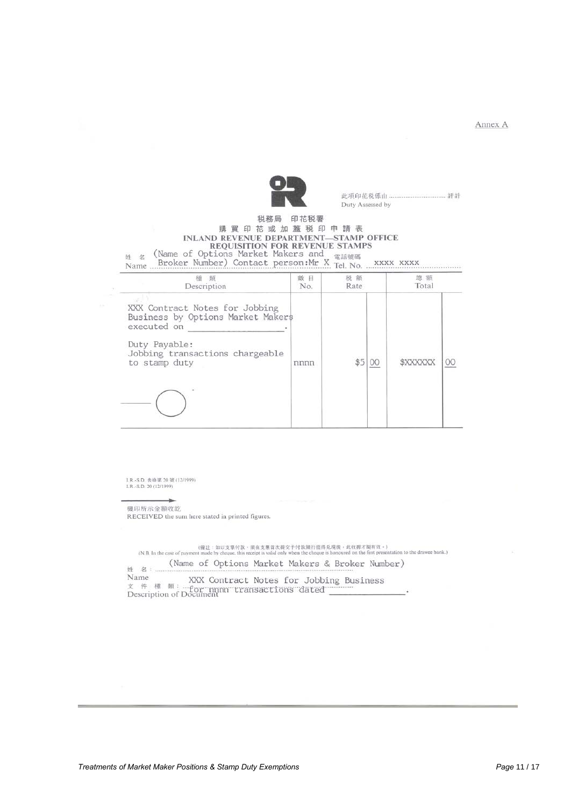Annex A



Duty Assessed by

# 税務局 印花税署 購買印花或加蓋税印申請表 INLAND REVENUE DEPARTMENT—STAMP OFFICE<br>  $\#$  & (Name of Options Market Makers and  $\#$  and  $\#$  and  $\#$  and  $\#$  and  $\#$  and  $\#$  and  $\#$  and  $\#$  and  $\#$  and  $\#$  and  $\#$  and  $\#$  and  $\#$  and  $\#$  and  $\#$  and  $\#$

| Description                                                                                                                                             | 蝮<br>目<br>No. | 税額<br>Rate | 緫<br>額<br>Total |  |
|---------------------------------------------------------------------------------------------------------------------------------------------------------|---------------|------------|-----------------|--|
| XXX Contract Notes for Jobbing<br>Business by Options Market Makers<br>executed on<br>Duty Payable:<br>Jobbing transactions chargeable<br>to stamp duty | nnnn          |            | \$XXXXXX        |  |
|                                                                                                                                                         |               |            |                 |  |

I.R.-S.D. 表格第 20 號 (12/1999)<br>I.R.-S.D. 20 (12/1999)

機印所示金額收訖 RECEIVED the sum here stated in printed figures.

(機注 : 如以文票付款、須在支票首次提交手付款提行提得見度後, 此代表有数: + )<br>(N.B. In the case of payment made by cheque, this receipt is valid only when the cheque is honoured on the first presentation to the drawee bank.)

(Name of Options Market Makers & Broker Number) 姓 名: Name

Name XXX Contract Notes for Jobbing Business<br>  $x$  #  $\#$   $\#$ : "for mmn transactions dated "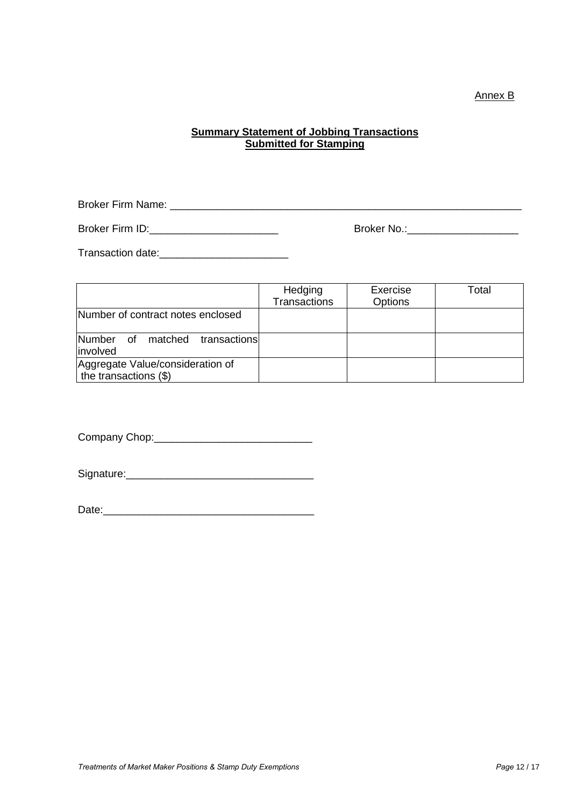## Annex B

## **Summary Statement of Jobbing Transactions Submitted for Stamping**

Broker Firm Name: \_\_\_\_\_\_\_\_\_\_\_\_\_\_\_\_\_\_\_\_\_\_\_\_\_\_\_\_\_\_\_\_\_\_\_\_\_\_\_\_\_\_\_\_\_\_\_\_\_\_\_\_\_\_\_\_\_\_\_\_

Broker Firm ID:\_\_\_\_\_\_\_\_\_\_\_\_\_\_\_\_\_\_\_\_\_\_ Broker No.:\_\_\_\_\_\_\_\_\_\_\_\_\_\_\_\_\_\_\_

Transaction date:\_\_\_\_\_\_\_\_\_\_\_\_\_\_\_\_\_\_\_\_\_\_

|                                                           | Hedging             | Exercise | Total |
|-----------------------------------------------------------|---------------------|----------|-------|
|                                                           | <b>Transactions</b> | Options  |       |
| Number of contract notes enclosed                         |                     |          |       |
| Number<br>matched<br>transactions<br>of<br>involved       |                     |          |       |
| Aggregate Value/consideration of<br>the transactions (\$) |                     |          |       |

Company Chop:\_\_\_\_\_\_\_\_\_\_\_\_\_\_\_\_\_\_\_\_\_\_\_\_\_\_\_

Signature:\_\_\_\_\_\_\_\_\_\_\_\_\_\_\_\_\_\_\_\_\_\_\_\_\_\_\_\_\_\_\_\_

Date: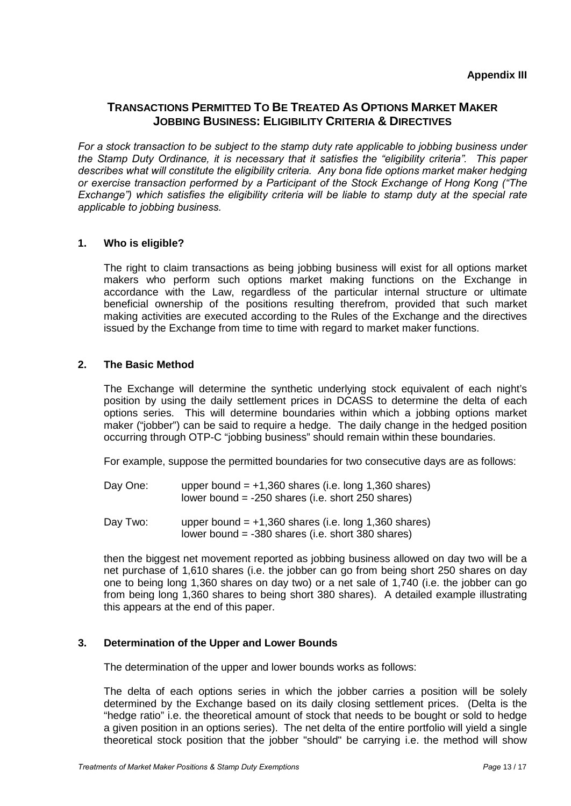## **TRANSACTIONS PERMITTED TO BE TREATED AS OPTIONS MARKET MAKER JOBBING BUSINESS: ELIGIBILITY CRITERIA & DIRECTIVES**

*For a stock transaction to be subject to the stamp duty rate applicable to jobbing business under the Stamp Duty Ordinance, it is necessary that it satisfies the "eligibility criteria". This paper describes what will constitute the eligibility criteria. Any bona fide options market maker hedging or exercise transaction performed by a Participant of the Stock Exchange of Hong Kong ("The Exchange") which satisfies the eligibility criteria will be liable to stamp duty at the special rate applicable to jobbing business.*

## **1. Who is eligible?**

The right to claim transactions as being jobbing business will exist for all options market makers who perform such options market making functions on the Exchange in accordance with the Law, regardless of the particular internal structure or ultimate beneficial ownership of the positions resulting therefrom, provided that such market making activities are executed according to the Rules of the Exchange and the directives issued by the Exchange from time to time with regard to market maker functions.

## **2. The Basic Method**

The Exchange will determine the synthetic underlying stock equivalent of each night's position by using the daily settlement prices in DCASS to determine the delta of each options series. This will determine boundaries within which a jobbing options market maker ("jobber") can be said to require a hedge. The daily change in the hedged position occurring through OTP-C "jobbing business" should remain within these boundaries.

For example, suppose the permitted boundaries for two consecutive days are as follows:

- Day One: upper bound  $= +1,360$  shares (i.e. long 1,360 shares) lower bound = -250 shares (i.e. short 250 shares)
- Day Two: upper bound  $= +1,360$  shares (i.e. long 1,360 shares) lower bound = -380 shares (i.e. short 380 shares)

then the biggest net movement reported as jobbing business allowed on day two will be a net purchase of 1,610 shares (i.e. the jobber can go from being short 250 shares on day one to being long 1,360 shares on day two) or a net sale of 1,740 (i.e. the jobber can go from being long 1,360 shares to being short 380 shares). A detailed example illustrating this appears at the end of this paper.

## **3. Determination of the Upper and Lower Bounds**

The determination of the upper and lower bounds works as follows:

The delta of each options series in which the jobber carries a position will be solely determined by the Exchange based on its daily closing settlement prices. (Delta is the "hedge ratio" i.e. the theoretical amount of stock that needs to be bought or sold to hedge a given position in an options series). The net delta of the entire portfolio will yield a single theoretical stock position that the jobber "should" be carrying i.e. the method will show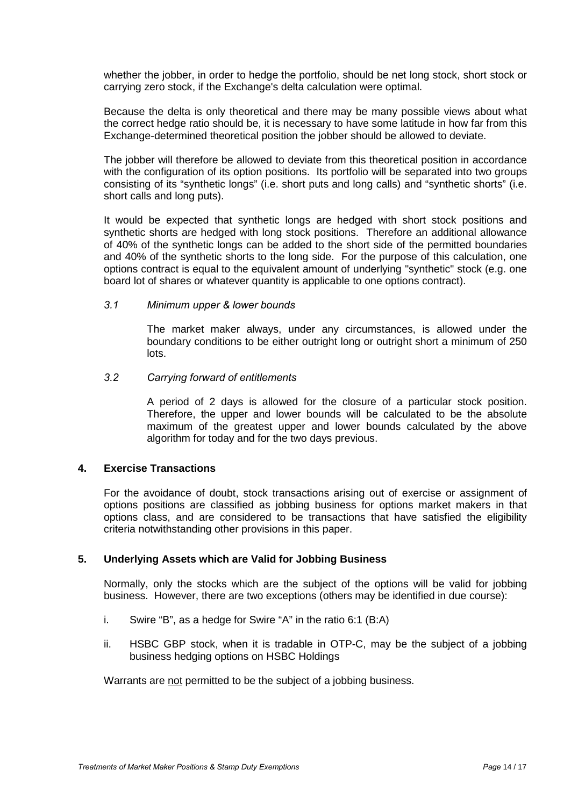whether the jobber, in order to hedge the portfolio, should be net long stock, short stock or carrying zero stock, if the Exchange's delta calculation were optimal.

Because the delta is only theoretical and there may be many possible views about what the correct hedge ratio should be, it is necessary to have some latitude in how far from this Exchange-determined theoretical position the jobber should be allowed to deviate.

The jobber will therefore be allowed to deviate from this theoretical position in accordance with the configuration of its option positions. Its portfolio will be separated into two groups consisting of its "synthetic longs" (i.e. short puts and long calls) and "synthetic shorts" (i.e. short calls and long puts).

It would be expected that synthetic longs are hedged with short stock positions and synthetic shorts are hedged with long stock positions. Therefore an additional allowance of 40% of the synthetic longs can be added to the short side of the permitted boundaries and 40% of the synthetic shorts to the long side. For the purpose of this calculation, one options contract is equal to the equivalent amount of underlying "synthetic" stock (e.g. one board lot of shares or whatever quantity is applicable to one options contract).

#### *3.1 Minimum upper & lower bounds*

The market maker always, under any circumstances, is allowed under the boundary conditions to be either outright long or outright short a minimum of 250 lots.

#### *3.2 Carrying forward of entitlements*

A period of 2 days is allowed for the closure of a particular stock position. Therefore, the upper and lower bounds will be calculated to be the absolute maximum of the greatest upper and lower bounds calculated by the above algorithm for today and for the two days previous.

## **4. Exercise Transactions**

For the avoidance of doubt, stock transactions arising out of exercise or assignment of options positions are classified as jobbing business for options market makers in that options class, and are considered to be transactions that have satisfied the eligibility criteria notwithstanding other provisions in this paper.

## **5. Underlying Assets which are Valid for Jobbing Business**

Normally, only the stocks which are the subject of the options will be valid for jobbing business. However, there are two exceptions (others may be identified in due course):

- i. Swire "B", as a hedge for Swire "A" in the ratio 6:1 (B:A)
- ii. HSBC GBP stock, when it is tradable in OTP-C, may be the subject of a jobbing business hedging options on HSBC Holdings

Warrants are not permitted to be the subject of a jobbing business.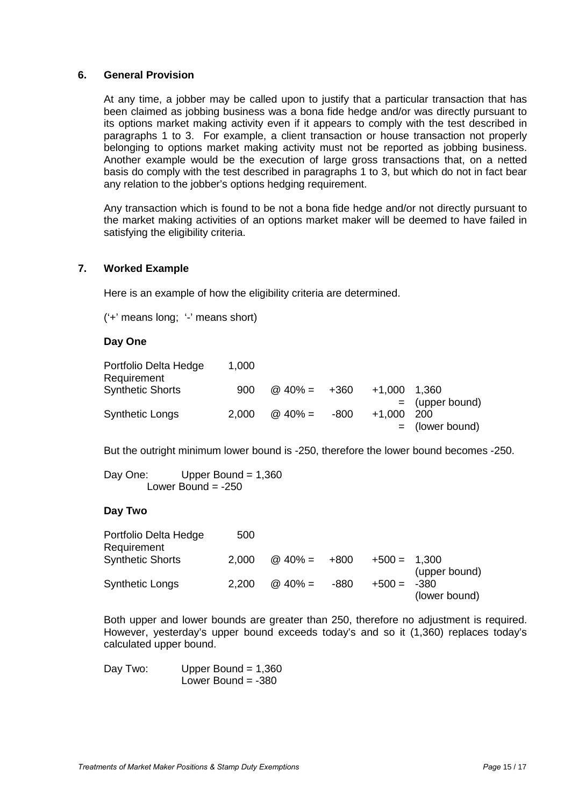#### **6. General Provision**

At any time, a jobber may be called upon to justify that a particular transaction that has been claimed as jobbing business was a bona fide hedge and/or was directly pursuant to its options market making activity even if it appears to comply with the test described in paragraphs 1 to 3. For example, a client transaction or house transaction not properly belonging to options market making activity must not be reported as jobbing business. Another example would be the execution of large gross transactions that, on a netted basis do comply with the test described in paragraphs 1 to 3, but which do not in fact bear any relation to the jobber's options hedging requirement.

Any transaction which is found to be not a bona fide hedge and/or not directly pursuant to the market making activities of an options market maker will be deemed to have failed in satisfying the eligibility criteria.

## **7. Worked Example**

Here is an example of how the eligibility criteria are determined.

('+' means long; '-' means short)

## **Day One**

| Portfolio Delta Hedge<br>Requirement | 1,000 |                     |      |          |                   |
|--------------------------------------|-------|---------------------|------|----------|-------------------|
| <b>Synthetic Shorts</b>              | 900   | $\omega$ 40% = +360 |      | $+1.000$ | - 1.360           |
|                                      |       |                     |      |          | $=$ (upper bound) |
| <b>Synthetic Longs</b>               | 2,000 | $@40\% =$           | -800 | $+1.000$ | 200               |
|                                      |       |                     |      |          | $=$ (lower bound) |

But the outright minimum lower bound is -250, therefore the lower bound becomes -250.

Day One: Upper Bound = 1,360 Lower Bound  $= -250$ 

## **Day Two**

| Portfolio Delta Hedge<br>Requirement | 500   |                     |      |                |               |
|--------------------------------------|-------|---------------------|------|----------------|---------------|
| <b>Synthetic Shorts</b>              | 2,000 | $\omega$ 40% = +800 |      | $+500 = 1.300$ | (upper bound) |
| Synthetic Longs                      | 2,200 | $@$ 40% =           | -880 | $+500 = -380$  | (lower bound) |

Both upper and lower bounds are greater than 250, therefore no adjustment is required. However, yesterday's upper bound exceeds today's and so it (1,360) replaces today's calculated upper bound.

Day Two: Upper Bound = 1,360 Lower Bound  $= -380$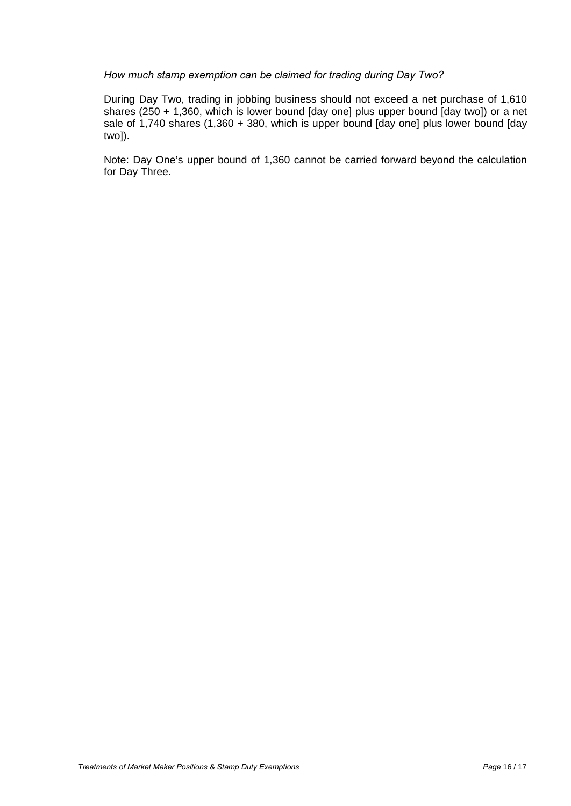#### *How much stamp exemption can be claimed for trading during Day Two?*

During Day Two, trading in jobbing business should not exceed a net purchase of 1,610 shares (250 + 1,360, which is lower bound [day one] plus upper bound [day two]) or a net sale of 1,740 shares (1,360 + 380, which is upper bound [day one] plus lower bound [day two]).

Note: Day One's upper bound of 1,360 cannot be carried forward beyond the calculation for Day Three.